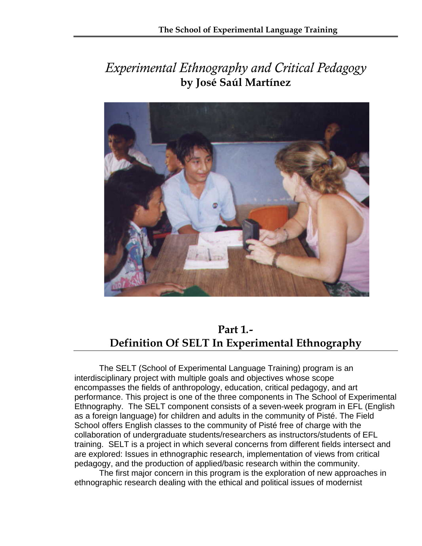## *Experimental Ethnography and Critical Pedagogy*  **by José Saúl Martínez**



## **Part 1***.-*  **Definition Of SELT In Experimental Ethnography**

 The SELT (School of Experimental Language Training) program is an interdisciplinary project with multiple goals and objectives whose scope encompasses the fields of anthropology, education, critical pedagogy, and art performance. This project is one of the three components in The School of Experimental Ethnography. The SELT component consists of a seven-week program in EFL (English as a foreign language) for children and adults in the community of Pisté. The Field School offers English classes to the community of Pisté free of charge with the collaboration of undergraduate students/researchers as instructors/students of EFL training. SELT is a project in which several concerns from different fields intersect and are explored: Issues in ethnographic research, implementation of views from critical pedagogy, and the production of applied/basic research within the community.

 The first major concern in this program is the exploration of new approaches in ethnographic research dealing with the ethical and political issues of modernist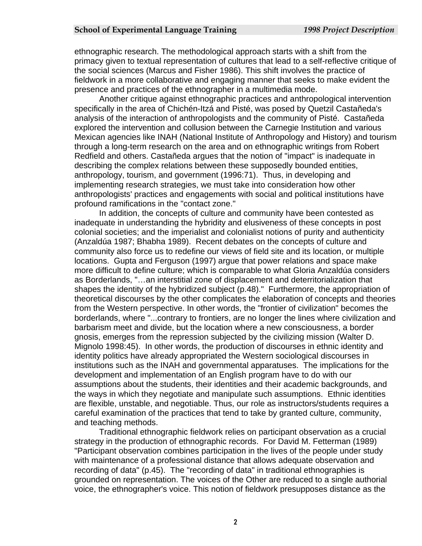ethnographic research. The methodological approach starts with a shift from the primacy given to textual representation of cultures that lead to a self-reflective cri tique of the social sciences (Marcus and Fisher 1986). This shift involves the practice of fieldwork in a more collaborative and engaging manner that seeks to make evident the presen ce and practices of the ethnographer in a multimedia mode.

Another critique against ethnographic practices and anthropological intervention Mexican agencies like INAH (National Institute of Anthropology and History) and tourism Redfield and others. Castañeda argues that the notion of "impact" is inadequate in describing the complex relations between these supposedly bounded entities, anthropologists' practices and engagements with social and political institutions have profou nd ramifications in the "contact zone." specifically in the area of Chichén-Itzá and Pisté, was posed by Quetzil Castañeda's analysis of the interaction of anthropologists and the community of Pisté. Castañeda explored the intervention and collusion between the Carnegie Institution and various through a long-term research on the area and on ethnographic writings from Robert anthropology, tourism, and government (1996:71). Thus, in developing and implementing research strategies, we must take into consideration how other

colonial societies; and the imperialist and colonialist notions of purity and authenticity more difficult to define culture; which is comparable to what Gloria Anzaldúa considers theoretical discourses by the other complicates the elaboration of concepts and theories borderlands, where "...contrary to frontiers, are no longer the lines where civilization and Mignolo 1998:45). In other words, the production of discourses in ethnic identity and institutions such as the INAH and governmental apparatuses. The implications for the careful examination of the practices that tend to take by granted culture, community, and te aching methods. In addition, the concepts of culture and community have been contested as inadequate in understanding the hybridity and elusiveness of these concepts in post (Anzaldúa 1987; Bhabha 1989). Recent debates on the concepts of culture and community also force us to redefine our views of field site and its location, or multiple locations. Gupta and Ferguson (1997) argue that power relations and space make as Borderlands, "…an interstitial zone of displacement and deterritorialization that shapes the identity of the hybridized subject (p.48)." Furthermore, the appropriation of from the Western perspective. In other words, the "frontier of civilization" becomes the barbarism meet and divide, but the location where a new consciousness, a border gnosis, emerges from the repression subjected by the civilizing mission (Walter D. identity politics have already appropriated the Western sociological discourses in development and implementation of an English program have to do with our assumptions about the students, their identities and their academic backgrounds, and the ways in which they negotiate and manipulate such assumptions. Ethnic identities are flexible, unstable, and negotiable. Thus, our role as instructors/students requires a

Traditional ethnographic fieldwork relies on participant observation as a crucial "Participant observation combines participation in the lives of the people under study with maintenance of a professional distance that allows adequate observation and strategy in the production of ethnographic records. For David M. Fetterman (1989) recording of data" (p.45). The "recording of data" in traditional ethnographies is grounded on representation. The voices of the Other are reduced to a single authorial voice, the ethnographer's voice. This notion of fieldwork presupposes distance as the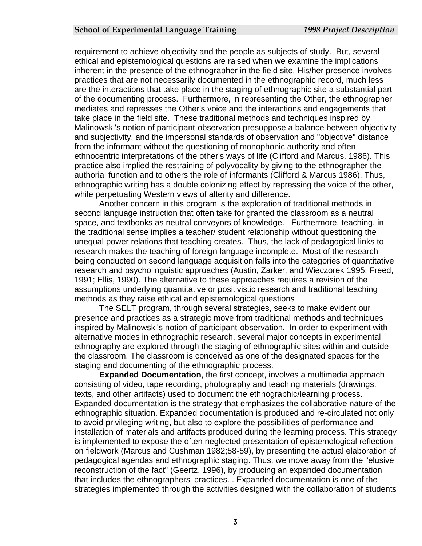requirement to achieve objectivity and the people as subjects of study. But, several ethical and epistemological questions are raised when we examine the implications inherent in the presence of the ethnographer in the field site. His/her presence involve s practices that are not necessarily documented in the ethnographic record, much less are the interactions that take place in the staging of ethnographic site a substantial part of the documenting process. Furthermore, in representing the Other, the ethnographer mediates and represses the Other's voice and the interactions and engagements t hat take place in the field site. These traditional methods and techniques inspired by Malinowski's notion of participant-observation presuppose a balance between objectivit y and subjectivity, and the impersonal standards of observation and "objective" d istance from the informant without the questioning of monophonic authority and often ethnocentric interpretations of the other's ways of life (Clifford and Marcus, 1986). Thi s practice also implied the restraining of polyvocality by giving to the ethnographer the authorial function and to others the role of informants (Clifford & Marcus 1986). Thus, ethnographic writing has a double colonizing effect by repres sing the voice of the other, while p erpetuating Western views of alterity and difference.

research and psycholinguistic approaches (Austin, Zarker, and Wieczorek 1995; Freed, assumptions underlying quantitative or positivistic research and traditional teaching metho ds as they raise ethical and epistemological questions Another concern in this program is the exploration of traditional methods in second language instruction that often take for granted the classroom as a neutral space, and textbooks as neutral conveyors of knowledge. Furthermore, teaching, in the traditional sense implies a teacher/ student relationship without questioning the unequal power relations that teaching creates. Thus, the lack of pedagogical links to research makes the teaching of foreign language incomplete. Most of the research being conducted on second language acquisition falls into the categories of quantitative 1991; Ellis, 1990). The alternative to these approaches requires a revision of the

ethnography are explored through the staging of ethnographic sites within and outside the classroom. The classroom is conceived as one of the designated spaces for the staging and documenting of the ethnographic process. The SELT program, through several strategies, seeks to make evident our presence and practices as a strategic move from traditional methods and techniques inspired by Malinowski's notion of participant-observation. In order to experiment with alternative modes in ethnographic research, several major concepts in experimental

**Expanded Documentation**, the first concept, involves a multimedia approach consisting of video, tape recording, photography and teaching materials (drawings, ethnographic situation. Expanded documentation is produced and re-circulated not only pedagogical agendas and ethnographic staging. Thus, we move away from the "elusive strategies implemented through the activities designed with the collaboration of students texts, and other artifacts) used to document the ethnographic/learning process. Expanded documentation is the strategy that emphasizes the collaborative nature of the to avoid privileging writing, but also to explore the possibilities of performance and installation of materials and artifacts produced during the learning process. This strategy is implemented to expose the often neglected presentation of epistemological reflection on fieldwork (Marcus and Cushman 1982;58-59), by presenting the actual elaboration of reconstruction of the fact" (Geertz, 1996), by producing an expanded documentation that includes the ethnographers' practices. . Expanded documentation is one of the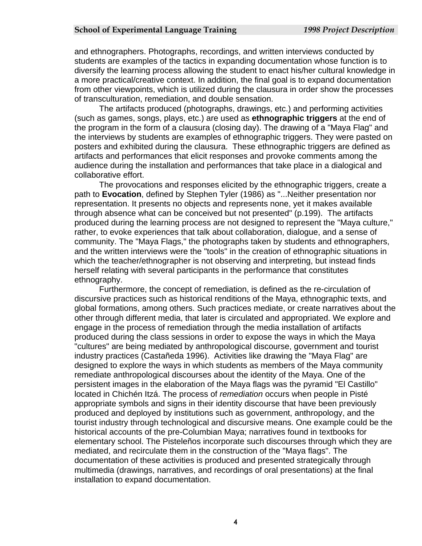and ethnographers. Photographs, recordings, and written interviews conducted by students are examples of the tactics in expanding documentation whose function is to diversify the learning process allowing the student to enact his/her cultural knowledge in a more practical/creative context. In addition, the final goal is to expand documentation from other viewpoints, which is utilized during the clausura in order show the processes of tran sculturation, remediation, and double sensation.

posters and exhibited during the clausura. These ethnographic triggers are defined as audience during the installation and performances that take place in a dialogical and collabo rative effort. The artifacts produced (photographs, drawings, etc.) and performing activities (such as games, songs, plays, etc.) are used as **ethnographic triggers** at the end of the program in the form of a clausura (closing day). The drawing of a "Maya Flag" and the interviews by students are examples of ethnographic triggers. They were pasted on artifacts and performances that elicit responses and provoke comments among the

The provocations and responses elicited by the ethnographic triggers, create a produced during the learning process are not designed to represent the "Maya culture," and the written interviews were the "tools" in the creation of ethnographic situations in which the teacher/ethnographer is not observing and interpreting, but instead finds herself relating with several participants in the performance that constitutes ethnog raphy. path to **Evocation**, defined by Stephen Tyler (1986) as "...Neither presentation nor representation. It presents no objects and represents none, yet it makes available through absence what can be conceived but not presented" (p.199). The artifacts rather, to evoke experiences that talk about collaboration, dialogue, and a sense of community. The "Maya Flags," the photographs taken by students and ethnographers,

other through different media, that later is circulated and appropriated. We explore and "cultures" are being mediated by anthropological discourse, government and tourist designed to explore the ways in which students as members of the Maya community " persistent images in the elaboration of the Maya flags was the pyramid "El Castillo tourist industry through technological and discursive means. One example could be the elementary school. The Pisteleños incorporate such discourses through which they are multimedia (drawings, narratives, and recordings of oral presentations) at the final installa tion to expand documentation. Furthermore, the concept of remediation, is defined as the re-circulation of discursive practices such as historical renditions of the Maya, ethnographic texts, and global formations, among others. Such practices mediate, or create narratives about the engage in the process of remediation through the media installation of artifacts produced during the class sessions in order to expose the ways in which the Maya industry practices (Castañeda 1996). Activities like drawing the "Maya Flag" are remediate anthropological discourses about the identity of the Maya. One of the located in Chichén Itzá. The process of *remediation* occurs when people in Pisté appropriate symbols and signs in their identity discourse that have been previously produced and deployed by institutions such as government, anthropology, and the historical accounts of the pre-Columbian Maya; narratives found in textbooks for mediated, and recirculate them in the construction of the "Maya flags". The documentation of these activities is produced and presented strategically through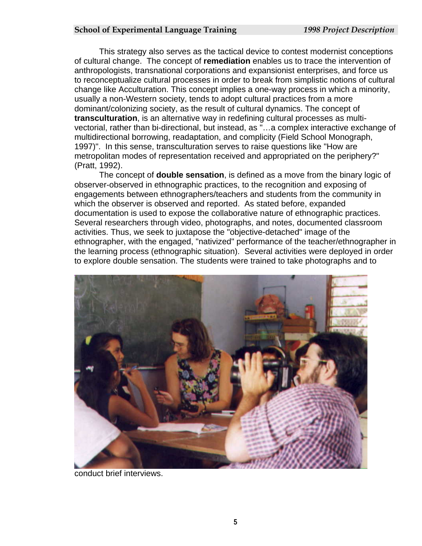This strategy also serves as the tactical device to contest modernist conceptions of cultural change. The concept of **remediation** enables us to trace the intervention of anthropologists, transnational corporations and expansionist enterprises, and force us to reconceptualize cultural processes in order to break from simplistic notions of cultural change like Acculturation. This concept implies a one-way process in which a m inority, usually a non-Western society, tends to adopt cultural practices from a more dominant/colonizing society, as the result of cultural dynamics. The concept of **transculturation**, is an alternative way in redefining cultural processes as multivectorial, rather than bi-directional, but instead, as "…a complex interactive exc hange of multidirectional borrowing, readaptation, and complicity (Field School Monograph, 1997)". In this sense, transculturation serves to raise questions like "How are metrop olitan modes of representation received and appropriated on the periphery?" (Pratt, 1992).

The concept of **double sensation**, is defined as a move from the binary logic of observer-observed in ethnographic practices, to the recognition and exposing of documentation is used to expose the collaborative nature of ethnographic practices. ethnographer, with the engaged, "nativized" performance of the teacher/ethnographer in the learning process (ethnographic situation). Several activities were deployed in order engagements between ethnographers/teachers and students from the community in which the observer is observed and reported. As stated before, expanded Several researchers through video, photographs, and notes, documented classroom activities. Thus, we seek to juxtapose the "objective-detached" image of the to explore double sensation. The students were trained to take photographs and to



conduct brief interviews.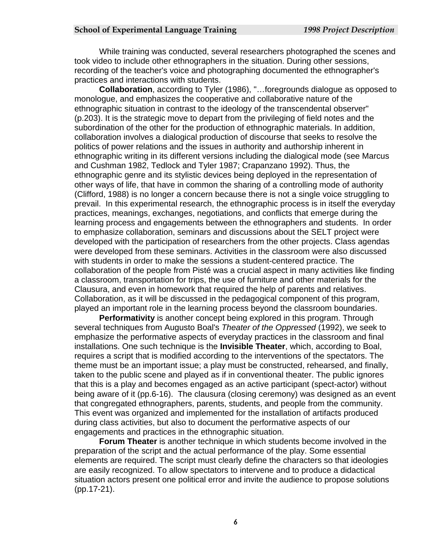While training was conducted, several researchers photographed the scenes and took video to include other ethnographers in the situation. During other sessio ns, recording of the teacher's voice and photographing documented the ethnographer 's practices and interactions with students.

**Collaboration**, according to Tyler (1986), "…foregrounds dialogue as oppos ed to monologue, and emphasizes the cooperative and collaborative nature of the ethnographic situation in contrast to the ideology of the transcendental observer" (p.203). It is the strategic move to depart from the privileging of field notes and the subordination of the other for the production of ethnographic materials. In addition, collaboration involves a dialogical production of discourse that seeks to resolve the politics of power relations and the issues in authority and authorship inherent in ethnographic writing in its different versions including the dialogical mode (see Marcus and Cushman 1982, Tedlock and Tyler 1987; Crapanzano 1992). Thus, the ethnographic genre and its stylistic devices being deployed in the representation of other ways of life, that have in common the sharing of a controlling mode of authority (Clifford, 1988) is no longer a concern because there is not a single voice struggling t o prevail. In this experimental research, the ethnographic process is in itself the everyday practices, meanings, exchanges, negotiations, and conflicts that emerge during the learning process and engagements between the ethnographers and students. In order to emphasize collaboration, seminars and discussions about the SELT project were developed with the participation of researchers from the other projects. Class agend as were developed from these seminars. Activities in the classroom were also discus sed with students in order to make the sessions a student-centered practice. The collaboration of the people from Pisté was a crucial aspect in many activities like find ing a class room, transportation for trips, the use of furniture and other materials for the Clausura, and even in homework that required the help of parents and relatives. Collaboration, as it will be discussed in the pedagogical component of this program, played an important role in the learning process beyond the classroom boundaries.

that this is a play and becomes engaged as an active participant (spect-actor) without being aware of it (pp.6-16). The clausura (closing ceremony) was designed as an event that co ngregated ethnographers, parents, students, and people from the community. This event was organized and implemented for the installation of artifacts produced **Performativity** is another concept being explored in this program. Through several techniques from Augusto Boal's *Theater of the Oppressed* (1992), we seek to emphasize the performative aspects of everyday practices in the classroom and final installations. One such technique is the **Invisible Theater**, which, according to Boal, requires a script that is modified according to the interventions of the spectators. The theme must be an important issue; a play must be constructed, rehearsed, and finally, taken to the public scene and played as if in conventional theater. The public ignores during class activities, but also to document the performative aspects of our engagements and practices in the ethnographic situation.

preparation of the script and the actual performance of the play. Some essential elements are required. The script must clearly define the characters so that ideologies situation actors present one political error and invite the audience to propose solutions **Forum Theater** is another technique in which students become involved in the are easily recognized. To allow spectators to intervene and to produce a didactical (pp.17-21).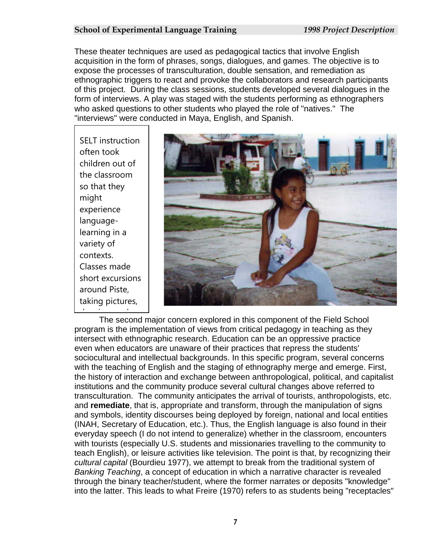These theater techniques are used as pedagogical tactics that involve English acquisition in the form of phrases, songs, dialogues, and games. The objective is to expose the processes of transculturation, double sensation, and remediation a s ethnographic triggers to react and provoke the collaborators a nd research participants of this project. During the class sessions, students developed several dialogues in the form of interviews. A play was staged with the students performing as ethnographers who asked questions to other students who played the role of "natives." The "interviews" were conducted in Maya, English, and Spanish.

SELT instruction often took children out of the classroo m so that the y might experience languagelearning in a variety of contexts. Classes made short excursions around Piste, taking pictures,



The second major concern explored in this component of the Field School program is the implementation of views from critical pedagogy in teaching as they intersect with ethnographic research. Education can be an oppressive practice even when educators are unaware of their practices that repress the students' sociocultural and intellectual backgrounds. In this specific program, several concerns with the teaching of English and the staging of ethnography merge and emerge. First, the history of interaction and exchange between anthropological, political, and capitalist institutions and the community produce several cultural changes above referred to transculturation. The community anticipates the arrival of tourists, anthropologists, etc. and **remediate**, that is, appropriate and transform, through the manipulation of signs and symbols, identity discourses being deployed by foreign, national and local entities (INAH, Secretary of Education, etc.). Thus, the English language is also found in the ir everyday speech (I do not intend to generalize) whether in the classroom, encounters with tourists (especially U.S. students and missionaries travelling to the community to teach English), or leisure activities like television. The point is that, by recognizing their *cultural capital* (Bourdieu 1977), we attempt to break from the traditional system of *Banking Teaching*, a concept of education in which a narrative character is revealed through the binary teacher/student, where the former narrates or deposits "knowledge" into the latter. This leads to what Freire (1970) refers to as students being "receptacle s" <u>d i de la componenta de la componenta de la componenta de la componenta de la componenta de la componenta de la<br>Desenvolver de la componenta de la componenta de la componenta de la componenta de la componenta de la compon</u>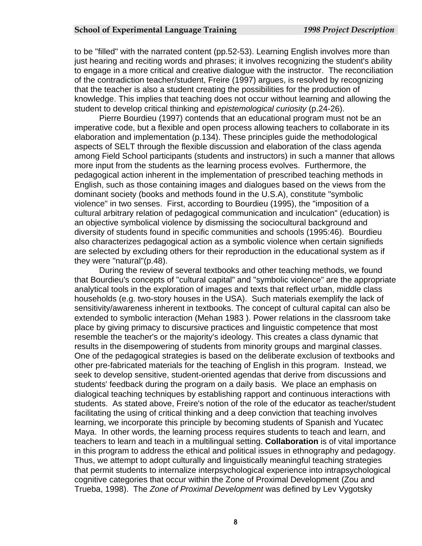to be "filled" with the narrated content (pp.52-53). Learning English involves more than just hearing and reciting words and phrases; it involves recognizing the student's ability to engage in a more critical and creative dialogue with the instructor. The re conciliation of the contradiction teacher/student, Freire (1997) argues, is resolved by recognizing knowledge. This implies that teaching does not occur without learning and allowing the that the teacher is also a student creating the possibilities for the production of student to develop critical thinking and *epistemological curiosity* (p.24-26).

imperative code, but a flexible and open process allowing teachers to collaborate in its among Field School participants (students and instructors) in such a manner that allows English, such as those containing images and dialogues based on the views from the an objective symbolical violence by dismissing the sociocultural background and diversi ty of students found in specific communities and schools (1995:46). Bourdieu Pierre Bourdieu (1997) contends that an educational program must not be an elaboration and implementation (p.134). These principles guide the methodological aspects of SELT through the flexible discussion and elaboration of the class agenda more input from the students as the learning process evolves. Furthermore, the pedagogical action inherent in the implementation of prescribed teaching methods in dominant society (books and methods found in the U.S.A), constitute "symbolic violence" in two senses. First, according to Bourdieu (1995), the "imposition of a cultural arbitrary relation of pedagogical communication and inculcation" (education) is also characterizes pedagogical action as a symbolic violence when certain signifieds are selected by excluding others for their reproduction in the educational system as if they were "natural"(p.48).

sensitivity/awareness inherent in textbooks. The concept of cultural capital can also be seek to develop sensitive, student-oriented agendas that derive from discussions and teachers to learn and teach in a multilingual setting. **Collaboration** is of vital importance in this program to address the ethical and political issues in ethnography and pedagogy. that permit students to internalize interpsychological experience into intrapsychological During the review of several textbooks and other teaching methods, we found that Bourdieu's concepts of "cultural capital" and "symbolic violence" are the appropriate analytical tools in the exploration of images and texts that reflect urban, middle class households (e.g. two-story houses in the USA). Such materials exemplify the lack of extended to symbolic interaction (Mehan 1983 ). Power relations in the classroom take place by giving primacy to discursive practices and linguistic competence that most resemble the teacher's or the majority's ideology. This creates a class dynamic that results in the disempowering of students from minority groups and marginal classes. One of the pedagogical strategies is based on the deliberate exclusion of textbooks and other pre-fabricated materials for the teaching of English in this program. Instead, we students' feedback during the program on a daily basis. We place an emphasis on dialogical teaching techniques by establishing rapport and continuous interactions with students. As stated above, Freire's notion of the role of the educator as teacher/student facilitating the using of critical thinking and a deep conviction that teaching involves learning, we incorporate this principle by becoming students of Spanish and Yucatec Maya. In other words, the learning process requires students to teach and learn, and Thus, we attempt to adopt culturally and linguistically meaningful teaching strategies cognitive categories that occur within the Zone of Proximal Development (Zou and Trueba, 1998). The *Zone of Proximal Development* was defined by Lev Vygotsky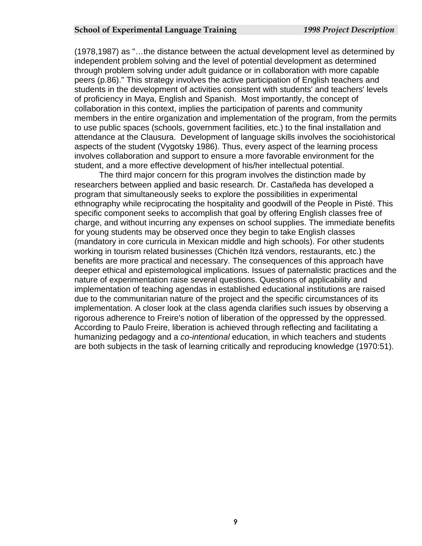(1978,1987) as "…the distance between the actual development level as determined by independent problem solving and the level of potential development as determi ned through problem solving under adult guidance or in collaboration with more capa ble peers (p.86)." This strategy involves the active participation of English teachers and students in the development of activities consistent with students' and teachers' levels of proficiency in Maya, English and Spanish. Most importantly, the concept of collaboration in this context, implies the participation of parents and community members in the entire organization and implementation of the program, from the permits to use public spaces (schools, government facilities, etc.) to the final installa tion and attendance at the Clausura. Development of language skills involves the sociohistorical involves collaboration and support to ensure a more favorable environment for the aspects of the student (Vygotsky 1986). Thus, every aspect of the learning process student, and a more effective development of his/her intellectual potential.

ethnography while reciprocating the hospitality and goodwill of the People in Pisté. This specific component seeks to accomplish that goal by offering English classes free of charge, and without incurring any expenses on school supplies. The immediate benefits (mandatory in core curricula in Mexican middle and high schools). For other students deeper ethical and epistemological implications. Issues of paternalistic practices and the rigorous adherence to Freire's notion of liberation of the oppressed by the oppressed. According to Paulo Freire, liberation is achieved through reflecting and facilitating a humanizing pedagogy and a *co-intentional* education, in which teachers and students are both subjects in the task of learning critically and reproducing knowledge (1970:51). The third major concern for this program involves the distinction made by researchers between applied and basic research. Dr. Castañeda has developed a program that simultaneously seeks to explore the possibilities in experimental for young students may be observed once they begin to take English classes working in tourism related businesses (Chichén Itzá vendors, restaurants, etc.) the benefits are more practical and necessary. The consequences of this approach have nature of experimentation raise several questions. Questions of applicability and implementation of teaching agendas in established educational institutions are raised due to the communitarian nature of the project and the specific circumstances of its implementation. A closer look at the class agenda clarifies such issues by observing a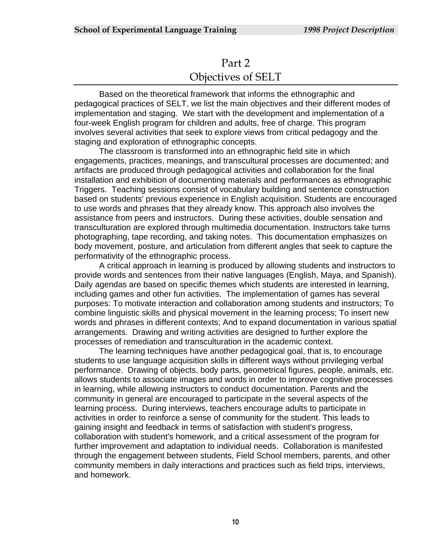## Part 2 Objectives of SELT

Based on the theoretical framework that informs the ethnographic and pedagogical practices of SELT, we list the main objectives and their different modes of implementation and staging. We start with the development and implementation of a four-week English program for children and adults, free of charge. This program involves several activities that seek to explore views from critical pedagogy and the staging and exploration of ethnographic concepts.

The classroom is transformed into an ethnographic field site in which engagements, practices, meanings, and transcultural processes are documented; and artifacts are produced through pedagogical activities and collaboration for the final installation and exhibition of documenting materials and performances as ethnographic Triggers.Teaching sessions consist of vocabulary building and sentence construction based on students' previous experience in English acquisition. Students are encouraged to use words and phrases that they already know. This approach also involves the assistance from peers and instructors. During these activities, double sensation and transculturation are explored through multimedia documentation. Instructors take turns photographing, tape recording, and taking notes. This documentation emphasizes on body movement, posture, and articulation from different angles that seek to capture the performativity of the ethnographic process.

A critical approach in learning is produced by allowing students and instructors to provide words and sentences from their native languages (English, Maya, and Spanish). Daily agendas are based on specific themes which students are interested in learning, including games and other fun activities. The implementation of games has several purposes: To motivate interaction and collaboration among students and instructors; To combine linguistic skills and physical movement in the learning process; To insert new words and phrases in different contexts; And to expand documentation in various spatial arrangements. Drawing and writing activities are designed to further explore the processes of remediation and transculturation in the academic context.

The learning techniques have another pedagogical goal, that is, to encourage students to use language acquisition skills in different ways without privileging verbal performance. Drawing of objects, body parts, geometrical figures, people, animals, etc. allows students to associate images and words in order to improve cognitive processes in learning, while allowing instructors to conduct documentation. Parents and the community in general are encouraged to participate in the several aspects of the learning process. During interviews, teachers encourage adults to participate in activities in order to reinforce a sense of community for the student. This leads to gaining insight and feedback in terms of satisfaction with student's progress, collaboration with student's homework, and a critical assessment of the program for further improvement and adaptation to individual needs. Collaboration is manifested through the engagement between students, Field School members, parents, and other community members in daily interactions and practices such as field trips, interviews, and homework.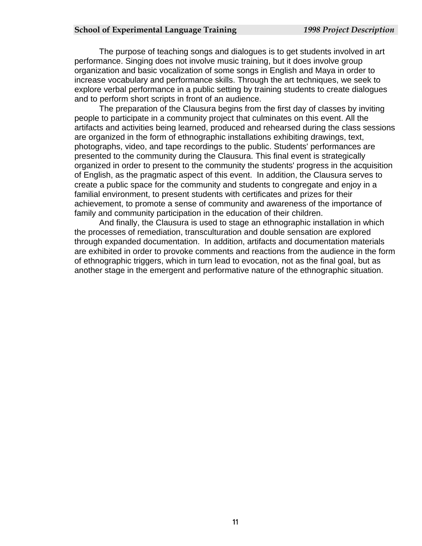The purpose of teaching songs and dialogues is to get students involved in art performance. Singing does not involve music training, but it does involve group organization and basic vocalization of some songs in English and Maya in order to increase vocabulary and performance skills. Through the art techniques, we seek to explore verbal performance in a public setting by training students to create dialogues and to perform short scripts in front of an audience.

The preparation of the Clausura begins from the first day of classes by inviting people to participate in a community project that culminates on this event. All the artifacts and activities being learned, produced and rehearsed during the class sessions are organized in the form of ethnographic installations exhibiting drawings, text, photographs, video, and tape recordings to the public. Students' performances are presented to the community during the Clausura. This final event is strategically organized in order to present to the community the students' progress in the acquisition of English, as the pragmatic aspect of this event. In addition, the Clausura serves to create a public space for the community and students to congregate and enjoy in a familial environment, to present students with certificates and prizes for their achievement, to promote a sense of community and awareness of the importance of family and community participation in the education of their children.

And finally, the Clausura is used to stage an ethnographic installation in which the processes of remediation, transculturation and double sensation are explored through expanded documentation. In addition, artifacts and documentation materials are exhibited in order to provoke comments and reactions from the audience in the form of ethnographic triggers, which in turn lead to evocation, not as the final goal, but as another stage in the emergent and performative nature of the ethnographic situation.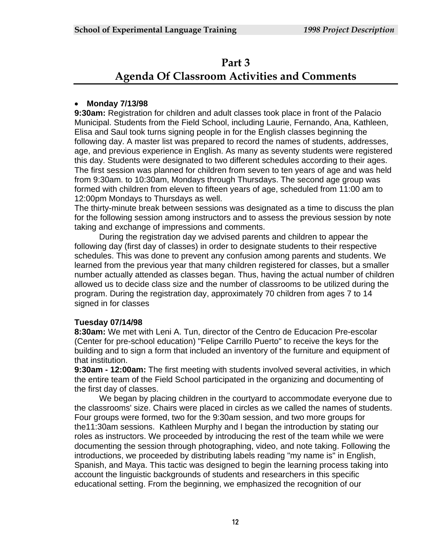## **Part 3 Agenda Of Classroom Activities and Comments**

## **Monday 7/13/98**

**9:30am:** Registration for children and adult classes took place in front of the Palacio Municipal. Students from the Field School, including Laurie, Fernando, Ana, Kathleen, Elisa and Saul took turns signing people in for the English classes beginning the following day. A master list was prepared to record the names of students, addresses, age, and previous experience in English. As many as seventy students were registered this day. Students were designated to two different schedules according to their ages. The first session was planned for children from seven to ten years of age and was held from 9:30am. to 10:30am, Mondays through Thursdays. The second age group was formed with children from eleven to fifteen years of age, scheduled from 11:00 am to 12:00pm Mondays to Thursdays as well.

The thirty-minute break between sessions was designated as a time to discuss the plan for the following session among instructors and to assess the previous session by note taking and exchange of impressions and comments.

 During the registration day we advised parents and children to appear the following day (first day of classes) in order to designate students to their respective schedules. This was done to prevent any confusion among parents and students. We learned from the previous year that many children registered for classes, but a smaller number actually attended as classes began. Thus, having the actual number of children allowed us to decide class size and the number of classrooms to be utilized during the program. During the registration day, approximately 70 children from ages 7 to 14 signed in for classes

## **Tuesday 07/14/98**

**8:30am:** We met with Leni A. Tun, director of the Centro de Educacion Pre-escolar (Center for pre-school education) "Felipe Carrillo Puerto" to receive the keys for the building and to sign a form that included an inventory of the furniture and equipment of that institution.

**9:30am - 12:00am:** The first meeting with students involved several activities, in which the entire team of the Field School participated in the organizing and documenting of the first day of classes.

 We began by placing children in the courtyard to accommodate everyone due to the classrooms' size. Chairs were placed in circles as we called the names of students. Four groups were formed, two for the 9:30am session, and two more groups for the11:30am sessions. Kathleen Murphy and I began the introduction by stating our roles as instructors. We proceeded by introducing the rest of the team while we were documenting the session through photographing, video, and note taking. Following the introductions, we proceeded by distributing labels reading "my name is" in English, Spanish, and Maya. This tactic was designed to begin the learning process taking into account the linguistic backgrounds of students and researchers in this specific educational setting. From the beginning, we emphasized the recognition of our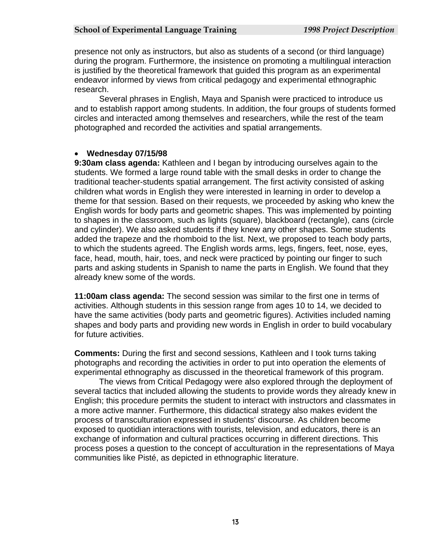presence not only as instructors, but also as students of a second (or third language) during the program. Furthermore, the insistence on promoting a multilingual interaction is justified by the theoretical framework that guided this program as an experimental endeavor informed by views from critical pedagogy and experimental ethnographic research.

 Several phrases in English, Maya and Spanish were practiced to introduce us and to establish rapport among students. In addition, the four groups of students formed circles and interacted among themselves and researchers, while the rest of the team photographed and recorded the activities and spatial arrangements.

#### **Wednesday 07/15/98**

**9:30am class agenda:** Kathleen and I began by introducing ourselves again to the students. We formed a large round table with the small desks in order to change the traditional teacher-students spatial arrangement. The first activity consisted of asking children what words in English they were interested in learning in order to develop a theme for that session. Based on their requests, we proceeded by asking who knew the English words for body parts and geometric shapes. This was implemented by pointing to shapes in the classroom, such as lights (square), blackboard (rectangle), cans (circle and cylinder). We also asked students if they knew any other shapes. Some students added the trapeze and the rhomboid to the list. Next, we proposed to teach body parts, to which the students agreed. The English words arms, legs, fingers, feet, nose, eyes, face, head, mouth, hair, toes, and neck were practiced by pointing our finger to such parts and asking students in Spanish to name the parts in English. We found that they already knew some of the words.

**11:00am class agenda:** The second session was similar to the first one in terms of activities. Although students in this session range from ages 10 to 14, we decided to have the same activities (body parts and geometric figures). Activities included naming shapes and body parts and providing new words in English in order to build vocabulary for future activities.

**Comments:** During the first and second sessions, Kathleen and I took turns taking photographs and recording the activities in order to put into operation the elements of experimental ethnography as discussed in the theoretical framework of this program.

The views from Critical Pedagogy were also explored through the deployment of several tactics that included allowing the students to provide words they already knew in English; this procedure permits the student to interact with instructors and classmates in a more active manner. Furthermore, this didactical strategy also makes evident the process of transculturation expressed in students' discourse. As children become exposed to quotidian interactions with tourists, television, and educators, there is an exchange of information and cultural practices occurring in different directions. This process poses a question to the concept of acculturation in the representations of Maya communities like Pisté, as depicted in ethnographic literature.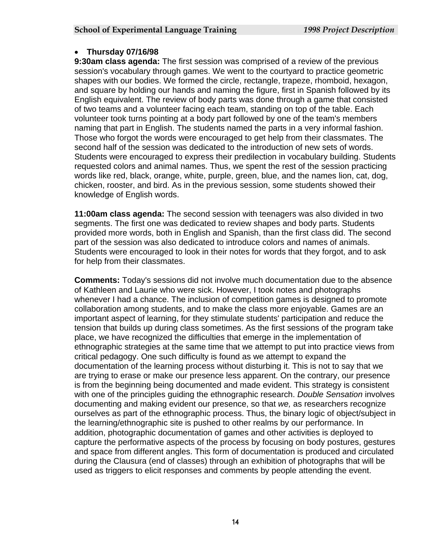#### **Thursday 07/16/98**

**9:30am class agenda:** The first session was comprised of a review of the previous session's vocabulary through games. We went to the courtyard to practice geometric shapes with our bodies. We formed the circle, rectangle, trapeze, rhomboid, hexagon, and square by holding our hands and naming the figure, first in Spanish followed by its English equivalent. The review of body parts was done through a game that consisted of two teams and a volunteer facing each team, standing on top of the table. Each volunteer took turns pointing at a body part followed by one of the team's members naming that part in English. The students named the parts in a very informal fashion. Those who forgot the words were encouraged to get help from their classmates. The second half of the session was dedicated to the introduction of new sets of words. Students were encouraged to express their predilection in vocabulary building. Students requested colors and animal names. Thus, we spent the rest of the session practicing words like red, black, orange, white, purple, green, blue, and the names lion, cat, dog, chicken, rooster, and bird. As in the previous session, some students showed their knowledge of English words.

**11:00am class agenda:** The second session with teenagers was also divided in two segments. The first one was dedicated to review shapes and body parts. Students provided more words, both in English and Spanish, than the first class did. The second part of the session was also dedicated to introduce colors and names of animals. Students were encouraged to look in their notes for words that they forgot, and to ask for help from their classmates.

**Comments:** Today's sessions did not involve much documentation due to the absence of Kathleen and Laurie who were sick. However, I took notes and photographs whenever I had a chance. The inclusion of competition games is designed to promote collaboration among students, and to make the class more enjoyable. Games are an important aspect of learning, for they stimulate students' participation and reduce the tension that builds up during class sometimes. As the first sessions of the program take place, we have recognized the difficulties that emerge in the implementation of ethnographic strategies at the same time that we attempt to put into practice views from critical pedagogy. One such difficulty is found as we attempt to expand the documentation of the learning process without disturbing it. This is not to say that we are trying to erase or make our presence less apparent. On the contrary, our presence is from the beginning being documented and made evident. This strategy is consistent with one of the principles guiding the ethnographic research. *Double Sensation* involves documenting and making evident our presence, so that *we,* as researchers recognize ourselves as part of the ethnographic process. Thus, the binary logic of object/subject in the learning/ethnographic site is pushed to other realms by our performance. In addition, photographic documentation of games and other activities is deployed to capture the performative aspects of the process by focusing on body postures, gestures and space from different angles. This form of documentation is produced and circulated during the Clausura (end of classes) through an exhibition of photographs that will be used as triggers to elicit responses and comments by people attending the event.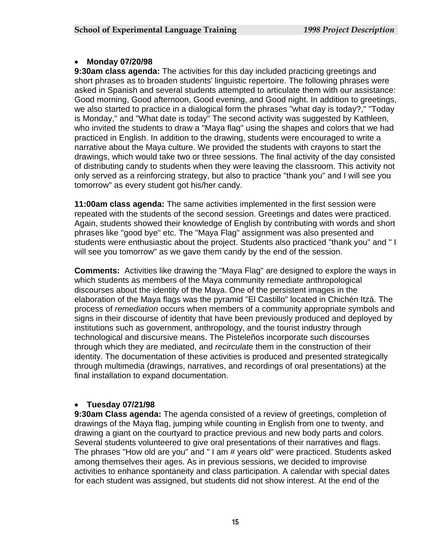#### **Monday 07/20/98**

**9:30am class agenda:** The activities for this day included practicing greetings and short phrases as to broaden students' linguistic repertoire. The following phrases were asked in Spanish and several students attempted to articulate them with our assistance: Good morning, Good afternoon, Good evening, and Good night. In addition to greetings, we also started to practice in a dialogical form the phrases "what day is today?," "Today is Monday," and "What date is today" The second activity was suggested by Kathleen, who invited the students to draw a "Maya flag" using the shapes and colors that we had practiced in English. In addition to the drawing, students were encouraged to write a narrative about the Maya culture. We provided the students with crayons to start the drawings, which would take two or three sessions. The final activity of the day consisted of distributing candy to students when they were leaving the classroom. This activity not only served as a reinforcing strategy, but also to practice "thank you" and I will see you tomorrow" as every student got his/her candy.

**11:00am class agenda:** The same activities implemented in the first session were repeated with the students of the second session. Greetings and dates were practiced. Again, students showed their knowledge of English by contributing with words and short phrases like "good bye" etc. The "Maya Flag" assignment was also presented and students were enthusiastic about the project. Students also practiced "thank you" and " I will see you tomorrow" as we gave them candy by the end of the session.

**Comments:** Activities like drawing the "Maya Flag" are designed to explore the ways in which students as members of the Maya community remediate anthropological discourses about the identity of the Maya. One of the persistent images in the elaboration of the Maya flags was the pyramid "El Castillo" located in Chichén Itzá. The process of *remediation* occurs when members of a community appropriate symbols and signs in their discourse of identity that have been previously produced and deployed by institutions such as government, anthropology, and the tourist industry through technological and discursive means. The Pisteleños incorporate such discourses through which they are mediated, and *recirculate* them in the construction of their identity. The documentation of these activities is produced and presented strategically through multimedia (drawings, narratives, and recordings of oral presentations) at the final installation to expand documentation.

## **Tuesday 07/21/98**

**9:30am Class agenda:** The agenda consisted of a review of greetings, completion of drawings of the Maya flag, jumping while counting in English from one to twenty, and drawing a giant on the courtyard to practice previous and new body parts and colors. Several students volunteered to give oral presentations of their narratives and flags. The phrases "How old are you" and " I am # years old" were practiced. Students asked among themselves their ages. As in previous sessions, we decided to improvise activities to enhance spontaneity and class participation. A calendar with special dates for each student was assigned, but students did not show interest. At the end of the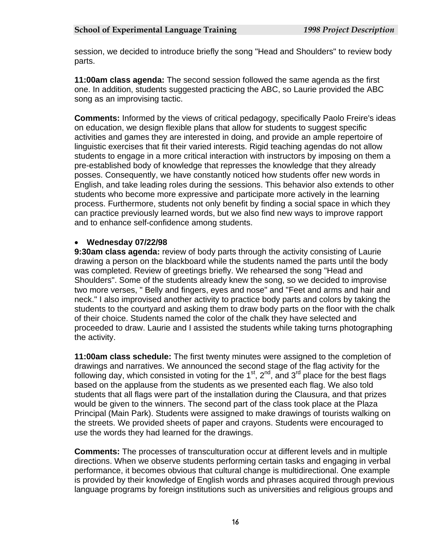session, we decided to introduce briefly the song "Head and Shoulders" to review body parts.

**11:00am class agenda:** The second session followed the same agenda as the first one. In addition, students suggested practicing the ABC, so Laurie provided the ABC song as an improvising tactic.

**Comments:** Informed by the views of critical pedagogy, specifically Paolo Freire's ideas on education, we design flexible plans that allow for students to suggest specific activities and games they are interested in doing, and provide an ample repertoire of linguistic exercises that fit their varied interests. Rigid teaching agendas do not allow students to engage in a more critical interaction with instructors by imposing on them a pre-established body of knowledge that represses the knowledge that they already posses. Consequently, we have constantly noticed how students offer new words in English, and take leading roles during the sessions. This behavior also extends to other students who become more expressive and participate more actively in the learning process. Furthermore, students not only benefit by finding a social space in which they can practice previously learned words, but we also find new ways to improve rapport and to enhance self-confidence among students.

#### **Wednesday 07/22/98**

**9:30am class agenda:** review of body parts through the activity consisting of Laurie drawing a person on the blackboard while the students named the parts until the body was completed. Review of greetings briefly. We rehearsed the song "Head and Shoulders". Some of the students already knew the song, so we decided to improvise two more verses, " Belly and fingers, eyes and nose" and "Feet and arms and hair and neck." I also improvised another activity to practice body parts and colors by taking the students to the courtyard and asking them to draw body parts on the floor with the chalk of their choice. Students named the color of the chalk they have selected and proceeded to draw. Laurie and I assisted the students while taking turns photographing the activity.

**11:00am class schedule:** The first twenty minutes were assigned to the completion of drawings and narratives. We announced the second stage of the flag activity for the following day, which consisted in voting for the  $1<sup>st</sup>$ ,  $2<sup>nd</sup>$ , and  $3<sup>rd</sup>$  place for the best flags based on the applause from the students as we presented each flag. We also told students that all flags were part of the installation during the Clausura, and that prizes would be given to the winners. The second part of the class took place at the Plaza Principal (Main Park). Students were assigned to make drawings of tourists walking on the streets. We provided sheets of paper and crayons. Students were encouraged to use the words they had learned for the drawings.

**Comments:** The processes of transculturation occur at different levels and in multiple directions. When we observe students performing certain tasks and engaging in verbal performance, it becomes obvious that cultural change is multidirectional. One example is provided by their knowledge of English words and phrases acquired through previous language programs by foreign institutions such as universities and religious groups and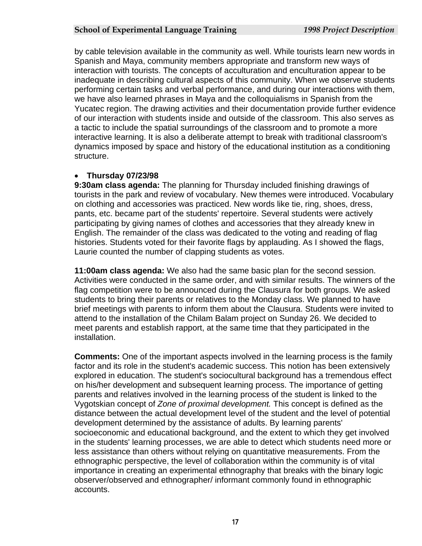by cable television available in the community as well. While tourists learn new words in Spanish and Maya, community members appropriate and transform new ways of interaction with tourists. The concepts of acculturation and enculturation appear to be inadequate in describing cultural aspects of this community. When we observe students performing certain tasks and verbal performance, and during our interactions with them, we have also learned phrases in Maya and the colloquialisms in Spanish from the Yucatec region. The drawing activities and their documentation provide further evidence of our interaction with students inside and outside of the classroom. This also serves as a tactic to include the spatial surroundings of the classroom and to promote a more interactive learning. It is also a deliberate attempt to break with traditional classroom's dynamics imposed by space and history of the educational institution as a conditioning structure.

## **Thursday 07/23/98**

**9:30am class agenda:** The planning for Thursday included finishing drawings of tourists in the park and review of vocabulary. New themes were introduced. Vocabulary on clothing and accessories was practiced. New words like tie, ring, shoes, dress, pants, etc. became part of the students' repertoire. Several students were actively participating by giving names of clothes and accessories that they already knew in English. The remainder of the class was dedicated to the voting and reading of flag histories. Students voted for their favorite flags by applauding. As I showed the flags, Laurie counted the number of clapping students as votes.

**11:00am class agenda:** We also had the same basic plan for the second session. Activities were conducted in the same order, and with similar results. The winners of the flag competition were to be announced during the Clausura for both groups. We asked students to bring their parents or relatives to the Monday class. We planned to have brief meetings with parents to inform them about the Clausura. Students were invited to attend to the installation of the Chilam Balam project on Sunday 26. We decided to meet parents and establish rapport, at the same time that they participated in the installation.

**Comments:** One of the important aspects involved in the learning process is the family factor and its role in the student's academic success. This notion has been extensively explored in education. The student's sociocultural background has a tremendous effect on his/her development and subsequent learning process. The importance of getting parents and relatives involved in the learning process of the student is linked to the Vygotskian concept of *Zone of proximal development.* This concept is defined as the distance between the actual development level of the student and the level of potential development determined by the assistance of adults. By learning parents' socioeconomic and educational background, and the extent to which they get involved in the students' learning processes, we are able to detect which students need more or less assistance than others without relying on quantitative measurements. From the ethnographic perspective, the level of collaboration within the community is of vital importance in creating an experimental ethnography that breaks with the binary logic observer/observed and ethnographer/ informant commonly found in ethnographic accounts.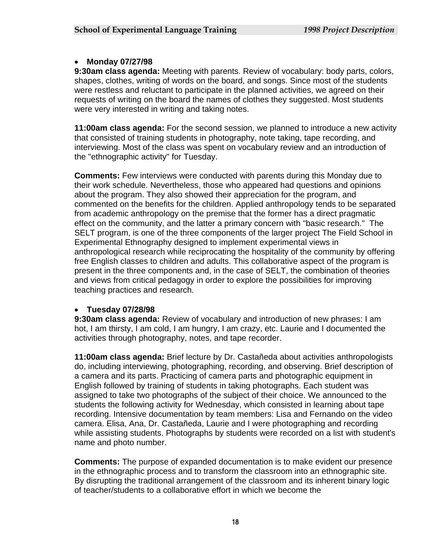#### **Monday 07/27/98**

**9:30am class agenda:** Meeting with parents. Review of vocabulary: body parts, colors, shapes, clothes, writing of words on the board, and songs. Since most of the students were restless and reluctant to participate in the planned activities, we agreed on their requests of writing on the board the names of clothes they suggested. Most students were very interested in writing and taking notes.

**11:00am class agenda:** For the second session, we planned to introduce a new activity that consisted of training students in photography, note taking, tape recording, and interviewing. Most of the class was spent on vocabulary review and an introduction of the "ethnographic activity" for Tuesday.

**Comments:** Few interviews were conducted with parents during this Monday due to their work schedule. Nevertheless, those who appeared had questions and opinions about the program. They also showed their appreciation for the program, and commented on the benefits for the children. Applied anthropology tends to be separated from academic anthropology on the premise that the former has a direct pragmatic effect on the community, and the latter a primary concern with "basic research." The SELT program, is one of the three components of the larger project The Field School in Experimental Ethnography designed to implement experimental views in anthropological research while reciprocating the hospitality of the community by offering free English classes to children and adults. This collaborative aspect of the program is present in the three components and, in the case of SELT, the combination of theories and views from critical pedagogy in order to explore the possibilities for improving teaching practices and research.

## **Tuesday 07/28/98**

**9:30am class agenda:** Review of vocabulary and introduction of new phrases: I am hot, I am thirsty, I am cold, I am hungry, I am crazy, etc. Laurie and I documented the activities through photography, notes, and tape recorder.

**11:00am class agenda:** Brief lecture by Dr. Castañeda about activities anthropologists do, including interviewing, photographing, recording, and observing. Brief description of a camera and its parts. Practicing of camera parts and photographic equipment in English followed by training of students in taking photographs. Each student was assigned to take two photographs of the subject of their choice. We announced to the students the following activity for Wednesday, which consisted in learning about tape recording. Intensive documentation by team members: Lisa and Fernando on the video camera. Elisa, Ana, Dr. Castañeda, Laurie and I were photographing and recording while assisting students. Photographs by students were recorded on a list with student's name and photo number.

**Comments:** The purpose of expanded documentation is to make evident our presence in the ethnographic process and to transform the classroom into an ethnographic site. By disrupting the traditional arrangement of the classroom and its inherent binary logic of teacher/students to a collaborative effort in which we become the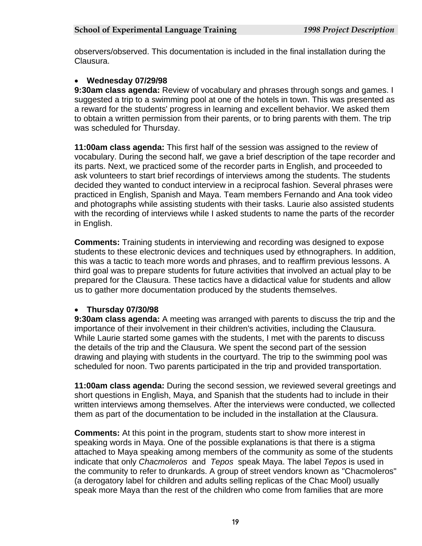observers/observed. This documentation is included in the final installation during the Clausura.

## **Wednesday 07/29/98**

**9:30am class agenda:** Review of vocabulary and phrases through songs and games. I suggested a trip to a swimming pool at one of the hotels in town. This was presented as a reward for the students' progress in learning and excellent behavior. We asked them to obtain a written permission from their parents, or to bring parents with them. The trip was scheduled for Thursday.

**11:00am class agenda:** This first half of the session was assigned to the review of vocabulary. During the second half, we gave a brief description of the tape recorder and its parts. Next, we practiced some of the recorder parts in English, and proceeded to ask volunteers to start brief recordings of interviews among the students. The students decided they wanted to conduct interview in a reciprocal fashion. Several phrases were practiced in English, Spanish and Maya. Team members Fernando and Ana took video and photographs while assisting students with their tasks. Laurie also assisted students with the recording of interviews while I asked students to name the parts of the recorder in English.

**Comments:** Training students in interviewing and recording was designed to expose students to these electronic devices and techniques used by ethnographers. In addition, this was a tactic to teach more words and phrases, and to reaffirm previous lessons. A third goal was to prepare students for future activities that involved an actual play to be prepared for the Clausura. These tactics have a didactical value for students and allow us to gather more documentation produced by the students themselves.

## **Thursday 07/30/98**

**9:30am class agenda:** A meeting was arranged with parents to discuss the trip and the importance of their involvement in their children's activities, including the Clausura. While Laurie started some games with the students, I met with the parents to discuss the details of the trip and the Clausura. We spent the second part of the session drawing and playing with students in the courtyard. The trip to the swimming pool was scheduled for noon. Two parents participated in the trip and provided transportation.

**11:00am class agenda:** During the second session, we reviewed several greetings and short questions in English, Maya, and Spanish that the students had to include in their written interviews among themselves. After the interviews were conducted, we collected them as part of the documentation to be included in the installation at the Clausura.

**Comments:** At this point in the program, students start to show more interest in speaking words in Maya. One of the possible explanations is that there is a stigma attached to Maya speaking among members of the community as some of the students indicate that only *Chacmoleros* and *Tepos* speak Maya. The label *Tepos* is used in the community to refer to drunkards. A group of street vendors known as "Chacmoleros" (a derogatory label for children and adults selling replicas of the Chac Mool) usually speak more Maya than the rest of the children who come from families that are more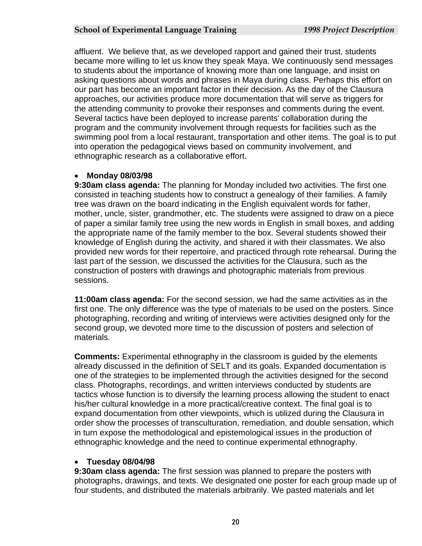affluent. We believe that, as we developed rapport and gained their trust, students became more willing to let us know they speak Maya. We continuously send messages to students about the importance of knowing more than one language, and insist on asking questions about words and phrases in Maya during class. Perhaps this effort on our part has become an important factor in their decision. As the day of the Clausura approaches, our activities produce more documentation that will serve as triggers for the attending community to provoke their responses and comments during the event. Several tactics have been deployed to increase parents' collaboration during the program and the community involvement through requests for facilities such as the swimming pool from a local restaurant, transportation and other items. The goal is to put into operation the pedagogical views based on community involvement, and ethnographic research as a collaborative effort.

## **Monday 08/03/98**

**9:30am class agenda:** The planning for Monday included two activities. The first one consisted in teaching students how to construct a genealogy of their families. A family tree was drawn on the board indicating in the English equivalent words for father, mother, uncle, sister, grandmother, etc. The students were assigned to draw on a piece of paper a similar family tree using the new words in English in small boxes, and adding the appropriate name of the family member to the box. Several students showed their knowledge of English during the activity, and shared it with their classmates. We also provided new words for their repertoire, and practiced through rote rehearsal. During the last part of the session, we discussed the activities for the Clausura, such as the construction of posters with drawings and photographic materials from previous sessions.

**11:00am class agenda:** For the second session, we had the same activities as in the first one. The only difference was the type of materials to be used on the posters. Since photographing, recording and writing of interviews were activities designed only for the second group, we devoted more time to the discussion of posters and selection of materials.

**Comments:** Experimental ethnography in the classroom is guided by the elements already discussed in the definition of SELT and its goals. Expanded documentation is one of the strategies to be implemented through the activities designed for the second class. Photographs, recordings, and written interviews conducted by students are tactics whose function is to diversify the learning process allowing the student to enact his/her cultural knowledge in a more practical/creative context. The final goal is to expand documentation from other viewpoints, which is utilized during the Clausura in order show the processes of transculturation, remediation, and double sensation, which in turn expose the methodological and epistemological issues in the production of ethnographic knowledge and the need to continue experimental ethnography.

## **Tuesday 08/04/98**

**9:30am class agenda:** The first session was planned to prepare the posters with photographs, drawings, and texts. We designated one poster for each group made up of four students, and distributed the materials arbitrarily. We pasted materials and let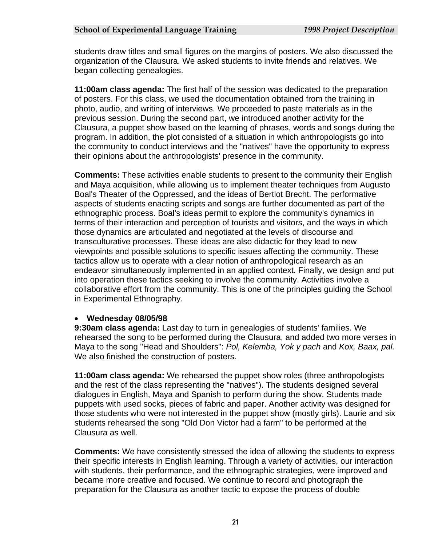students draw titles and small figures on the margins of posters. We also discussed the organization of the Clausura. We asked students to invite friends and relatives. We began collecting genealogies.

**11:00am class agenda:** The first half of the session was dedicated to the preparation of posters. For this class, we used the documentation obtained from the training in photo, audio, and writing of interviews. We proceeded to paste materials as in the previous session. During the second part, we introduced another activity for the Clausura, a puppet show based on the learning of phrases, words and songs during the program. In addition, the plot consisted of a situation in which anthropologists go into the community to conduct interviews and the "natives" have the opportunity to express their opinions about the anthropologists' presence in the community.

**Comments:** These activities enable students to present to the community their English and Maya acquisition, while allowing us to implement theater techniques from Augusto Boal's Theater of the Oppressed, and the ideas of Bertlot Brecht. The performative aspects of students enacting scripts and songs are further documented as part of the ethnographic process. Boal's ideas permit to explore the community's dynamics in terms of their interaction and perception of tourists and visitors, and the ways in which those dynamics are articulated and negotiated at the levels of discourse and transculturative processes. These ideas are also didactic for they lead to new viewpoints and possible solutions to specific issues affecting the community. These tactics allow us to operate with a clear notion of anthropological research as an endeavor simultaneously implemented in an applied context. Finally, we design and put into operation these tactics seeking to involve the community. Activities involve a collaborative effort from the community. This is one of the principles guiding the School in Experimental Ethnography.

## **Wednesday 08/05/98**

**9:30am class agenda:** Last day to turn in genealogies of students' families. We rehearsed the song to be performed during the Clausura, and added two more verses in Maya to the song "Head and Shoulders": *Pol, Kelemba, Yok y pach* and *Kox, Baax, pal.* We also finished the construction of posters.

**11:00am class agenda:** We rehearsed the puppet show roles (three anthropologists and the rest of the class representing the "natives"). The students designed several dialogues in English, Maya and Spanish to perform during the show. Students made puppets with used socks, pieces of fabric and paper. Another activity was designed for those students who were not interested in the puppet show (mostly girls). Laurie and six students rehearsed the song "Old Don Victor had a farm" to be performed at the Clausura as well.

**Comments:** We have consistently stressed the idea of allowing the students to express their specific interests in English learning. Through a variety of activities, our interaction with students, their performance, and the ethnographic strategies, were improved and became more creative and focused. We continue to record and photograph the preparation for the Clausura as another tactic to expose the process of double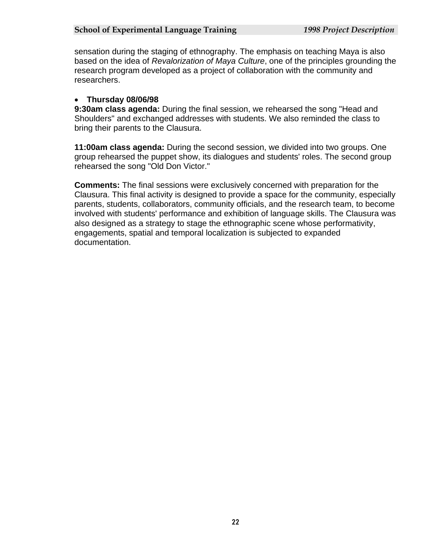sensation during the staging of ethnography. The emphasis on teaching Maya is also based on the idea of *Revalorization of Maya Culture*, one of the principles grounding the research program developed as a project of collaboration with the community and researchers.

## **Thursday 08/06/98**

**9:30am class agenda:** During the final session, we rehearsed the song "Head and Shoulders" and exchanged addresses with students. We also reminded the class to bring their parents to the Clausura.

**11:00am class agenda:** During the second session, we divided into two groups. One group rehearsed the puppet show, its dialogues and students' roles. The second group rehearsed the song "Old Don Victor."

**Comments:** The final sessions were exclusively concerned with preparation for the Clausura. This final activity is designed to provide a space for the community, especially parents, students, collaborators, community officials, and the research team, to become involved with students' performance and exhibition of language skills. The Clausura was also designed as a strategy to stage the ethnographic scene whose performativity, engagements, spatial and temporal localization is subjected to expanded documentation.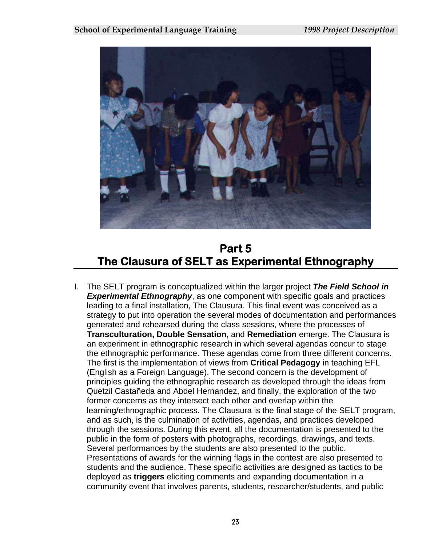

## **Part 5 The Clausura of SELT as Experimental Ethnography**

I. The SELT program is conceptualized within the larger project *The Field School in*  **Experimental Ethnography**, as one component with specific goals and practices leading to a final installation, The Clausura. This final event was conceived as a strategy to put into operation the several modes of documentation and performances generated and rehearsed during the class sessions, where the processes of **Transculturation, Double Sensation,** and **Remediation** emerge. The Clausura is an experiment in ethnographic research in which several agendas concur to stage the ethnographic performance. These agendas come from three different concerns. The first is the implementation of views from **Critical Pedagogy** in teaching EFL (English as a Foreign Language). The second concern is the development of principles guiding the ethnographic research as developed through the ideas from Quetzil Castañeda and Abdel Hernandez, and finally, the exploration of the two former concerns as they intersect each other and overlap within the learning/ethnographic process. The Clausura is the final stage of the SELT program, and as such, is the culmination of activities, agendas, and practices developed through the sessions. During this event, all the documentation is presented to the public in the form of posters with photographs, recordings, drawings, and texts. Several performances by the students are also presented to the public. Presentations of awards for the winning flags in the contest are also presented to students and the audience. These specific activities are designed as tactics to be deployed as **triggers** eliciting comments and expanding documentation in a community event that involves parents, students, researcher/students, and public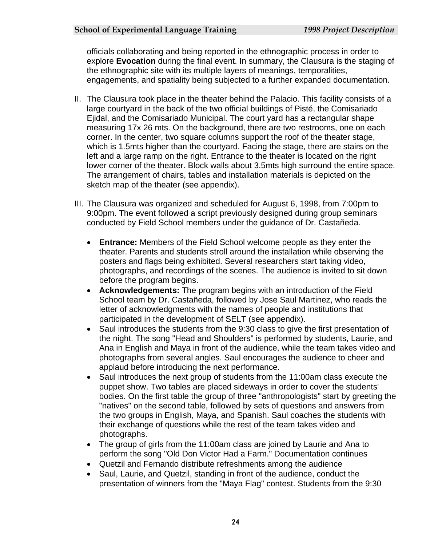officials collaborating and being reported in the ethnographic process in order to explore **Evocation** during the final event. In summary, the Clausura is the staging of the ethnographic site with its multiple layers of meanings, temporalities, engagements, and spatiality being subjected to a further expanded documentation.

- II. The Clausura took place in the theater behind the Palacio. This facility consists of a large courtyard in the back of the two official buildings of Pisté, the Comisariado Ejidal, and the Comisariado Municipal. The court yard has a rectangular shape measuring 17x 26 mts. On the background, there are two restrooms, one on each corner. In the center, two square columns support the roof of the theater stage, which is 1.5mts higher than the courtyard. Facing the stage, there are stairs on the left and a large ramp on the right. Entrance to the theater is located on the right lower corner of the theater. Block walls about 3.5mts high surround the entire space. The arrangement of chairs, tables and installation materials is depicted on the sketch map of the theater (see appendix).
- III. The Clausura was organized and scheduled for August 6, 1998, from 7:00pm to 9:00pm. The event followed a script previously designed during group seminars conducted by Field School members under the guidance of Dr. Castañeda.
	- **Entrance:** Members of the Field School welcome people as they enter the theater. Parents and students stroll around the installation while observing the posters and flags being exhibited. Several researchers start taking video, photographs, and recordings of the scenes. The audience is invited to sit down before the program begins.
	- **Acknowledgements:** The program begins with an introduction of the Field School team by Dr. Castañeda, followed by Jose Saul Martinez, who reads the letter of acknowledgments with the names of people and institutions that participated in the development of SELT (see appendix).
	- Saul introduces the students from the 9:30 class to give the first presentation of the night. The song "Head and Shoulders" is performed by students, Laurie, and Ana in English and Maya in front of the audience, while the team takes video and photographs from several angles. Saul encourages the audience to cheer and applaud before introducing the next performance.
	- Saul introduces the next group of students from the 11:00am class execute the puppet show. Two tables are placed sideways in order to cover the students' bodies. On the first table the group of three "anthropologists" start by greeting the "natives" on the second table, followed by sets of questions and answers from the two groups in English, Maya, and Spanish. Saul coaches the students with their exchange of questions while the rest of the team takes video and photographs.
	- The group of girls from the 11:00am class are joined by Laurie and Ana to perform the song "Old Don Victor Had a Farm." Documentation continues
	- Quetzil and Fernando distribute refreshments among the audience
	- Saul, Laurie, and Quetzil, standing in front of the audience, conduct the presentation of winners from the "Maya Flag" contest. Students from the 9:30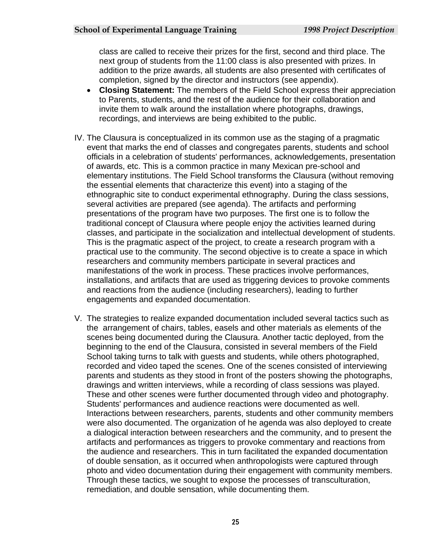class are called to receive their prizes for the first, second and third place. The next group of students from the 11:00 class is also presented with prizes. In addition to the prize awards, all students are also presented with certificates of completion, signed by the director and instructors (see appendix).

- **Closing Statement:** The members of the Field School express their appreciation to Parents, students, and the rest of the audience for their collaboration and invite them to walk around the installation where photographs, drawings, recordings, and interviews are being exhibited to the public.
- IV. The Clausura is conceptualized in its common use as the staging of a pragmatic event that marks the end of classes and congregates parents, students and school officials in a celebration of students' performances, acknowledgements, presentation of awards, etc. This is a common practice in many Mexican pre-school and elementary institutions. The Field School transforms the Clausura (without removing the essential elements that characterize this event) into a staging of the ethnographic site to conduct experimental ethnography. During the class sessions, several activities are prepared (see agenda). The artifacts and performing presentations of the program have two purposes. The first one is to follow the traditional concept of Clausura where people enjoy the activities learned during classes, and participate in the socialization and intellectual development of students. This is the pragmatic aspect of the project, to create a research program with a practical use to the community. The second objective is to create a space in which researchers and community members participate in several practices and manifestations of the work in process. These practices involve performances, installations, and artifacts that are used as triggering devices to provoke comments and reactions from the audience (including researchers), leading to further engagements and expanded documentation.
- V. The strategies to realize expanded documentation included several tactics such as the arrangement of chairs, tables, easels and other materials as elements of the scenes being documented during the Clausura. Another tactic deployed, from the beginning to the end of the Clausura, consisted in several members of the Field School taking turns to talk with guests and students, while others photographed, recorded and video taped the scenes. One of the scenes consisted of interviewing parents and students as they stood in front of the posters showing the photographs, drawings and written interviews, while a recording of class sessions was played. These and other scenes were further documented through video and photography. Students' performances and audience reactions were documented as well. Interactions between researchers, parents, students and other community members were also documented. The organization of he agenda was also deployed to create a dialogical interaction between researchers and the community, and to present the artifacts and performances as triggers to provoke commentary and reactions from the audience and researchers. This in turn facilitated the expanded documentation of double sensation, as it occurred when anthropologists were captured through photo and video documentation during their engagement with community members. Through these tactics, we sought to expose the processes of transculturation, remediation, and double sensation, while documenting them.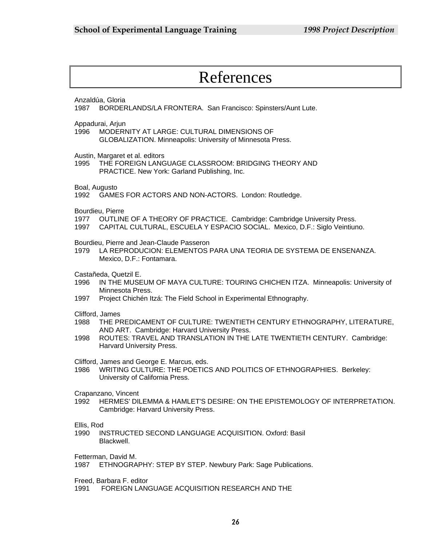# References

Anzaldúa, Gloria

1987 BORDERLANDS/LA FRONTERA. San Francisco: Spinsters/Aunt Lute.

Appadurai, Arjun

1996 MODERNITY AT LARGE: CULTURAL DIMENSIONS OF GLOBALIZATION. Minneapolis: University of Minnesota Press.

Austin, Margaret et al. editors

1995 THE FOREIGN LANGUAGE CLASSROOM: BRIDGING THEORY AND PRACTICE. New York: Garland Publishing, Inc.

Boal, Augusto

1992 GAMES FOR ACTORS AND NON-ACTORS. London: Routledge.

Bourdieu, Pierre

- 1977 OUTLINE OF A THEORY OF PRACTICE. Cambridge: Cambridge University Press.
- 1997 CAPITAL CULTURAL, ESCUELA Y ESPACIO SOCIAL. Mexico, D.F.: Siglo Veintiuno.

Bourdieu, Pierre and Jean-Claude Passeron

1979 LA REPRODUCION: ELEMENTOS PARA UNA TEORIA DE SYSTEMA DE ENSENANZA. Mexico, D.F.: Fontamara.

Castañeda, Quetzil E.

- 1996 IN THE MUSEUM OF MAYA CULTURE: TOURING CHICHEN ITZA. Minneapolis: University of Minnesota Press.
- 1997 Project Chichén Itzá: The Field School in Experimental Ethnography.

Clifford, James

- 1988 THE PREDICAMENT OF CULTURE: TWENTIETH CENTURY ETHNOGRAPHY, LITERATURE, AND ART. Cambridge: Harvard University Press.
- 1998 ROUTES: TRAVEL AND TRANSLATION IN THE LATE TWENTIETH CENTURY. Cambridge: Harvard University Press.

Clifford, James and George E. Marcus, eds.

1986 WRITING CULTURE: THE POETICS AND POLITICS OF ETHNOGRAPHIES. Berkeley: University of California Press.

Crapanzano, Vincent

1992 HERMES' DILEMMA & HAMLET'S DESIRE: ON THE EPISTEMOLOGY OF INTERPRETATION. Cambridge: Harvard University Press.

Ellis, Rod

1990 INSTRUCTED SECOND LANGUAGE ACQUISITION. Oxford: Basil Blackwell.

Fetterman, David M.

1987 ETHNOGRAPHY: STEP BY STEP. Newbury Park: Sage Publications.

Freed, Barbara F. editor

1991 FOREIGN LANGUAGE ACQUISITION RESEARCH AND THE